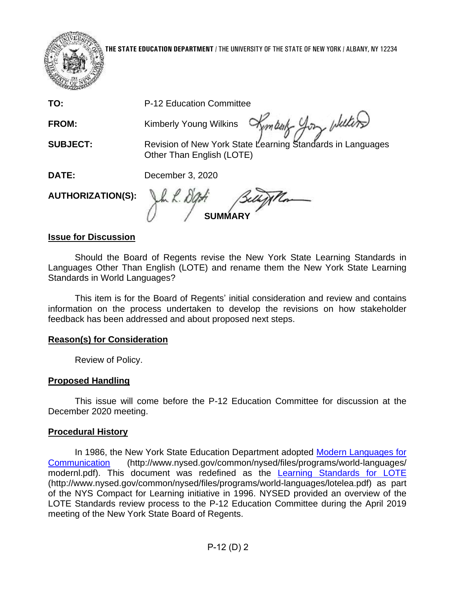

**THE STATE EDUCATION DEPARTMENT** / THE UNIVERSITY OF THE STATE OF NEW YORK / ALBANY, NY 12234

**TO:** P-12 Education Committee

**FROM: Kimberly Young Wilkins** 

**SUBJECT:** 

Kemberty you whiters

Other Than English (LOTE) Revision of New York State Learning Standards in Languages

**DATE:**  December 3, 2020

**AUTHORIZATION(S):** 

**SUMMARY** 

#### **Issue for Discussion**

 Languages Other Than English (LOTE) and rename them the New York State Learning Should the Board of Regents revise the New York State Learning Standards in Standards in World Languages?

 This item is for the Board of Regents' initial consideration and review and contains information on the process undertaken to develop the revisions on how stakeholder feedback has been addressed and about proposed next steps.

#### **Reason(s) for Consideration**

Review of Policy.

#### **Proposed Handling**

 This issue will come before the P-12 Education Committee for discussion at the December 2020 meeting.

#### **Procedural History**

 of the NYS Compact for Learning initiative in 1996. NYSED provided an overview of the In 1986, the New York State Education Department adopted [Modern Languages for](http://www.nysed.gov/common/nysed/files/programs/world-languages/modernl.pdf)  [Communication](http://www.nysed.gov/common/nysed/files/programs/world-languages/modernl.pdf) (http://www.nysed.gov/common/nysed/files/programs/world-languages/ modernl.pdf). This document was redefined as the [Learning Standards for LOTE](http://www.nysed.gov/common/nysed/files/programs/world-languages/lotelea.pdf)  (http://www.nysed.gov/common/nysed/files/programs/world-languages/lotelea.pdf) as part LOTE Standards review process to the P-12 Education Committee during the April 2019 meeting of the New York State Board of Regents.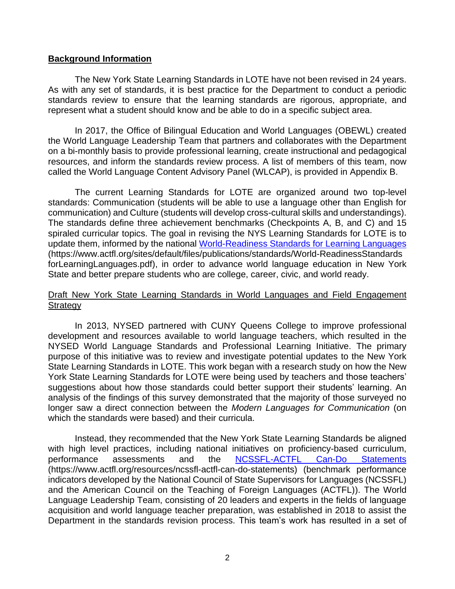#### **Background Information**

 As with any set of standards, it is best practice for the Department to conduct a periodic The New York State Learning Standards in LOTE have not been revised in 24 years. standards review to ensure that the learning standards are rigorous, appropriate, and represent what a student should know and be able to do in a specific subject area.

In 2017, the Office of Bilingual Education and World Languages (OBEWL) created the World Language Leadership Team that partners and collaborates with the Department on a bi-monthly basis to provide professional learning, create instructional and pedagogical resources, and inform the standards review process. A list of members of this team, now called the World Language Content Advisory Panel (WLCAP), is provided in Appendix B.

update them, informed by the national World-Readiness Standards for Learning Languages forLearningLanguages.pdf), in order to advance world language education in New York The current Learning Standard[s for LOTE](http://www.nysed.gov/common/nysed/files/programs/world-languages/lotelea.pdf) are organized around two top-level standards: Communication (students will be able to use a language other than English for communication) and Culture (students will develop cross-cultural skills and understandings). The standards define three achievement benchmarks (Checkpoints A, B, and C) and 15 spiraled curricular topics. The goal in revising the NYS Learning Standards for LOTE is to (https://www.actfl.org/sites/default/files/publications/standards/World-ReadinessStandards State and better prepare students who are college, career, civic, and world ready.

#### Draft New York State Learning Standards in World Languages and Field Engagement **Strategy**

 NYSED World Language Standards and Professional Learning Initiative. The primary purpose of this initiative was to review and investigate potential updates to the New York State Learning Standards in LOTE. This work began with a research study on how the New suggestions about how those standards could better support their students' learning. An longer saw a direct connection between the *Modern Languages for Communication* (on In 2013, NYSED partnered with CUNY Queens College to improve professional development and resources available to world language teachers, which resulted in the York State Learning Standards for LOTE were being used by teachers and those teachers' analysis of the findings of this survey demonstrated that the majority of those surveyed no which the standards were based) and their curricula.

 indicators developed by the National Council of State Supervisors for Languages (NCSSFL) Language Leadership Team, consisting of 20 leaders and experts in the fields of language Instead, they recommended that the New York State Learning Standards be aligned with high level practices, including national initiatives on proficiency-based curriculum, performance assessments and the [NCSSFL-ACTFL Can-Do Statements](https://www.actfl.org/resources/ncssfl-actfl-can-do-statements)  (https://www.actfl.org/resources/ncssfl-actfl-can-do-statements) (benchmark performance and the American Council on the Teaching of Foreign Languages (ACTFL)). The World acquisition and world language teacher preparation, was established in 2018 to assist the Department in the standards revision process. This team's work has resulted in a set of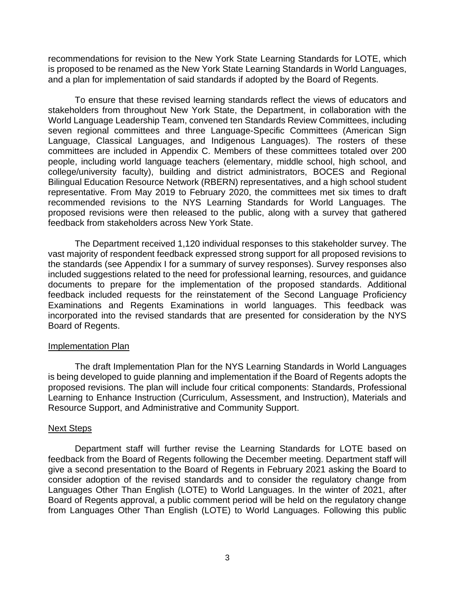is proposed to be renamed as the New York State Learning Standards in World Languages, recommendations for revision to the New York State Learning Standards for LOTE, which and a plan for implementation of said standards if adopted by the Board of Regents.

 college/university faculty), building and district administrators, BOCES and Regional To ensure that these revised learning standards reflect the views of educators and stakeholders from throughout New York State, the Department, in collaboration with the World Language Leadership Team, convened ten Standards Review Committees, including seven regional committees and three Language-Specific Committees (American Sign Language, Classical Languages, and Indigenous Languages). The rosters of these committees are included in Appendix C. Members of these committees totaled over 200 people, including world language teachers (elementary, middle school, high school, and Bilingual Education Resource Network (RBERN) representatives, and a high school student representative. From May 2019 to February 2020, the committees met six times to draft recommended revisions to the NYS Learning Standards for World Languages. The proposed revisions were then released to the public, along with a survey that gathered feedback from stakeholders across New York State.

 vast majority of respondent feedback expressed strong support for all proposed revisions to included suggestions related to the need for professional learning, resources, and guidance Examinations and Regents Examinations in world languages. This feedback was The Department received 1,120 individual responses to this stakeholder survey. The the standards (see Appendix I for a summary of survey responses). Survey responses also documents to prepare for the implementation of the proposed standards. Additional feedback included requests for the reinstatement of the Second Language Proficiency incorporated into the revised standards that are presented for consideration by the NYS Board of Regents.

#### Implementation Plan

 The draft Implementation Plan for the NYS Learning Standards in World Languages Learning to Enhance Instruction (Curriculum, Assessment, and Instruction), Materials and is being developed to guide planning and implementation if the Board of Regents adopts the proposed revisions. The plan will include four critical components: Standards, Professional Resource Support, and Administrative and Community Support.

#### Next Steps

 Languages Other Than English (LOTE) to World Languages. In the winter of 2021, after from Languages Other Than English (LOTE) to World Languages. Following this public Department staff will further revise the Learning Standards for LOTE based on feedback from the Board of Regents following the December meeting. Department staff will give a second presentation to the Board of Regents in February 2021 asking the Board to consider adoption of the revised standards and to consider the regulatory change from Board of Regents approval, a public comment period will be held on the regulatory change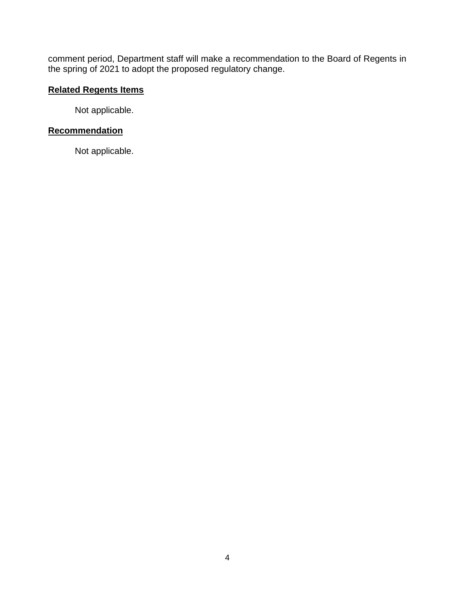comment period, Department staff will make a recommendation to the Board of Regents in the spring of 2021 to adopt the proposed regulatory change.

#### **Related Regents Items**

Not applicable.

#### **Recommendation**

Not applicable.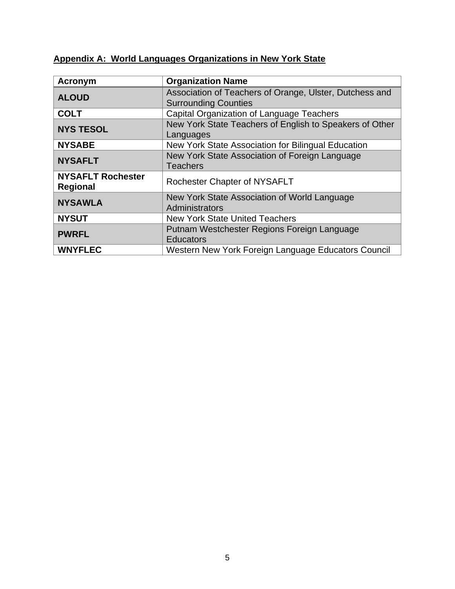# **Appendix A: World Languages Organizations in New York State**

| <b>Acronym</b>                              | <b>Organization Name</b>                                                               |  |
|---------------------------------------------|----------------------------------------------------------------------------------------|--|
| <b>ALOUD</b>                                | Association of Teachers of Orange, Ulster, Dutchess and<br><b>Surrounding Counties</b> |  |
| <b>COLT</b>                                 | Capital Organization of Language Teachers                                              |  |
| <b>NYS TESOL</b>                            | New York State Teachers of English to Speakers of Other<br>Languages                   |  |
| <b>NYSABE</b>                               | New York State Association for Bilingual Education                                     |  |
| <b>NYSAFLT</b>                              | New York State Association of Foreign Language<br><b>Teachers</b>                      |  |
| <b>NYSAFLT Rochester</b><br><b>Regional</b> | <b>Rochester Chapter of NYSAFLT</b>                                                    |  |
| <b>NYSAWLA</b>                              | New York State Association of World Language<br>Administrators                         |  |
| <b>NYSUT</b>                                | <b>New York State United Teachers</b>                                                  |  |
| <b>PWRFL</b>                                | Putnam Westchester Regions Foreign Language<br><b>Educators</b>                        |  |
| <b>WNYFLEC</b>                              | Western New York Foreign Language Educators Council                                    |  |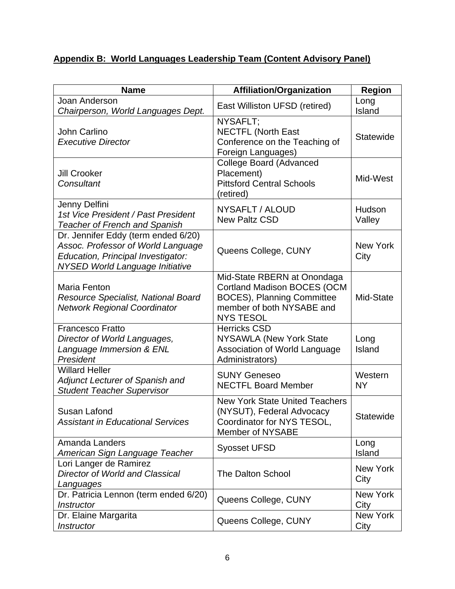# **Appendix B: World Languages Leadership Team (Content Advisory Panel)**

| <b>Name</b>                                                                                                                                               | <b>Affiliation/Organization</b>                                                                                                                         | <b>Region</b>           |
|-----------------------------------------------------------------------------------------------------------------------------------------------------------|---------------------------------------------------------------------------------------------------------------------------------------------------------|-------------------------|
| Joan Anderson<br>Chairperson, World Languages Dept.                                                                                                       | East Williston UFSD (retired)                                                                                                                           | Long<br>Island          |
| John Carlino<br><b>Executive Director</b>                                                                                                                 | NYSAFLT;<br><b>NECTFL (North East</b><br>Conference on the Teaching of<br>Foreign Languages)                                                            | Statewide               |
| <b>Jill Crooker</b><br>Consultant                                                                                                                         | <b>College Board (Advanced</b><br>Placement)<br><b>Pittsford Central Schools</b><br>(retired)                                                           | Mid-West                |
| Jenny Delfini<br>1st Vice President / Past President<br><b>Teacher of French and Spanish</b>                                                              | NYSAFLT / ALOUD<br><b>New Paltz CSD</b>                                                                                                                 | Hudson<br>Valley        |
| Dr. Jennifer Eddy (term ended 6/20)<br>Assoc. Professor of World Language<br>Education, Principal Investigator:<br><b>NYSED World Language Initiative</b> | Queens College, CUNY                                                                                                                                    | <b>New York</b><br>City |
| Maria Fenton<br>Resource Specialist, National Board<br><b>Network Regional Coordinator</b>                                                                | Mid-State RBERN at Onondaga<br><b>Cortland Madison BOCES (OCM</b><br><b>BOCES), Planning Committee</b><br>member of both NYSABE and<br><b>NYS TESOL</b> | Mid-State               |
| <b>Francesco Fratto</b><br>Director of World Languages,<br>Language Immersion & ENL<br>President                                                          | <b>Herricks CSD</b><br>NYSAWLA (New York State<br>Association of World Language<br>Administrators)                                                      | Long<br>Island          |
| <b>Willard Heller</b><br>Adjunct Lecturer of Spanish and<br><b>Student Teacher Supervisor</b>                                                             | <b>SUNY Geneseo</b><br><b>NECTFL Board Member</b>                                                                                                       | Western<br><b>NY</b>    |
| Susan Lafond<br><b>Assistant in Educational Services</b>                                                                                                  | <b>New York State United Teachers</b><br>(NYSUT), Federal Advocacy<br>Coordinator for NYS TESOL,<br>Member of NYSABE                                    | Statewide               |
| <b>Amanda Landers</b><br>American Sign Language Teacher                                                                                                   | <b>Syosset UFSD</b>                                                                                                                                     | Long<br>Island          |
| Lori Langer de Ramirez<br><b>Director of World and Classical</b><br>Languages                                                                             | <b>The Dalton School</b>                                                                                                                                | <b>New York</b><br>City |
| Dr. Patricia Lennon (term ended 6/20)<br><b>Instructor</b>                                                                                                | Queens College, CUNY                                                                                                                                    | <b>New York</b><br>City |
| Dr. Elaine Margarita<br>Instructor                                                                                                                        | Queens College, CUNY                                                                                                                                    | New York<br>City        |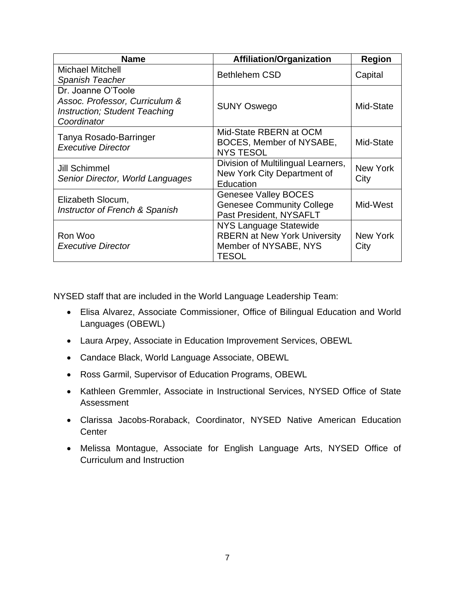| <b>Name</b>                                                                                                 | <b>Affiliation/Organization</b>                                                                        | <b>Region</b>    |
|-------------------------------------------------------------------------------------------------------------|--------------------------------------------------------------------------------------------------------|------------------|
| <b>Michael Mitchell</b><br>Spanish Teacher                                                                  | <b>Bethlehem CSD</b>                                                                                   | Capital          |
| Dr. Joanne O'Toole<br>Assoc. Professor, Curriculum &<br><b>Instruction; Student Teaching</b><br>Coordinator | <b>SUNY Oswego</b>                                                                                     | Mid-State        |
| Tanya Rosado-Barringer<br><b>Executive Director</b>                                                         | Mid-State RBERN at OCM<br>BOCES, Member of NYSABE,<br><b>NYS TESOL</b>                                 | Mid-State        |
| Jill Schimmel<br>Senior Director, World Languages                                                           | Division of Multilingual Learners,<br>New York City Department of<br>Education                         | New York<br>City |
| Elizabeth Slocum,<br>Instructor of French & Spanish                                                         | <b>Genesee Valley BOCES</b><br><b>Genesee Community College</b><br>Past President, NYSAFLT             | Mid-West         |
| Ron Woo<br><b>Executive Director</b>                                                                        | NYS Language Statewide<br><b>RBERN at New York University</b><br>Member of NYSABE, NYS<br><b>TESOL</b> | New York<br>City |

NYSED staff that are included in the World Language Leadership Team:

- Elisa Alvarez, Associate Commissioner, Office of Bilingual Education and World Languages (OBEWL)
- Laura Arpey, Associate in Education Improvement Services, OBEWL
- Candace Black, World Language Associate, OBEWL
- Ross Garmil, Supervisor of Education Programs, OBEWL
- • Kathleen Gremmler, Associate in Instructional Services, NYSED Office of State Assessment
- • Clarissa Jacobs-Roraback, Coordinator, NYSED Native American Education **Center**
- • Melissa Montague, Associate for English Language Arts, NYSED Office of Curriculum and Instruction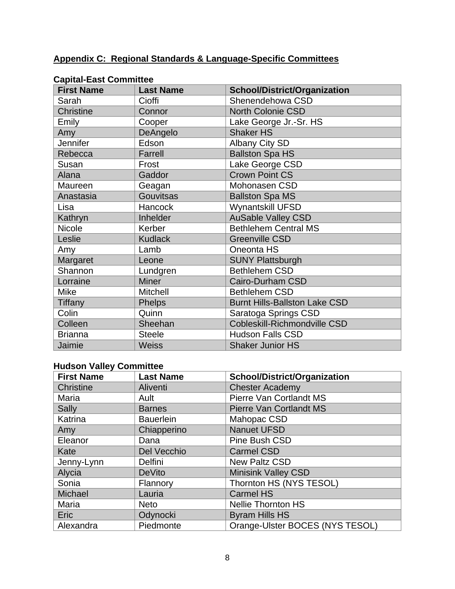#### **Appendix C: Regional Standards & Language-Specific Committees**

| <b>First Name</b> |                  |                                      |
|-------------------|------------------|--------------------------------------|
|                   | <b>Last Name</b> | <b>School/District/Organization</b>  |
| Sarah             | Cioffi           | Shenendehowa CSD                     |
| <b>Christine</b>  | Connor           | <b>North Colonie CSD</b>             |
| Emily             | Cooper           | Lake George Jr.-Sr. HS               |
| Amy               | DeAngelo         | <b>Shaker HS</b>                     |
| Jennifer          | Edson            | <b>Albany City SD</b>                |
| Rebecca           | Farrell          | <b>Ballston Spa HS</b>               |
| Susan             | Frost            | Lake George CSD                      |
| Alana             | Gaddor           | <b>Crown Point CS</b>                |
| Maureen           | Geagan           | Mohonasen CSD                        |
| Anastasia         | <b>Gouvitsas</b> | <b>Ballston Spa MS</b>               |
| Lisa              | <b>Hancock</b>   | <b>Wynantskill UFSD</b>              |
| Kathryn           | Inhelder         | <b>AuSable Valley CSD</b>            |
| Nicole            | Kerber           | <b>Bethlehem Central MS</b>          |
| Leslie            | <b>Kudlack</b>   | <b>Greenville CSD</b>                |
| Amy               | Lamb             | Oneonta HS                           |
| Margaret          | Leone            | <b>SUNY Plattsburgh</b>              |
| Shannon           | Lundgren         | <b>Bethlehem CSD</b>                 |
| Lorraine          | <b>Miner</b>     | <b>Cairo-Durham CSD</b>              |
| <b>Mike</b>       | <b>Mitchell</b>  | <b>Bethlehem CSD</b>                 |
| <b>Tiffany</b>    | <b>Phelps</b>    | <b>Burnt Hills-Ballston Lake CSD</b> |
| Colin             | Quinn            | Saratoga Springs CSD                 |
| Colleen           | Sheehan          | Cobleskill-Richmondville CSD         |
| <b>Brianna</b>    | <b>Steele</b>    | <b>Hudson Falls CSD</b>              |
| Jaimie            | <b>Weiss</b>     | <b>Shaker Junior HS</b>              |

#### **Capital-East Committee**

### **Hudson Valley Committee**

| <b>First Name</b> | <b>Last Name</b> | <b>School/District/Organization</b> |
|-------------------|------------------|-------------------------------------|
| Christine         | Aliventi         | <b>Chester Academy</b>              |
| Maria             | Ault             | Pierre Van Cortlandt MS             |
| Sally             | <b>Barnes</b>    | <b>Pierre Van Cortlandt MS</b>      |
| Katrina           | <b>Bauerlein</b> | Mahopac CSD                         |
| Amy               | Chiapperino      | <b>Nanuet UFSD</b>                  |
| Eleanor           | Dana             | Pine Bush CSD                       |
| Kate              | Del Vecchio      | <b>Carmel CSD</b>                   |
| Jenny-Lynn        | Delfini          | <b>New Paltz CSD</b>                |
| Alycia            | <b>DeVito</b>    | <b>Minisink Valley CSD</b>          |
| Sonia             | Flannory         | Thornton HS (NYS TESOL)             |
| Michael           | Lauria           | <b>Carmel HS</b>                    |
| Maria             | <b>Neto</b>      | <b>Nellie Thornton HS</b>           |
| Eric              | Odynocki         | <b>Byram Hills HS</b>               |
| Alexandra         | Piedmonte        | Orange-Ulster BOCES (NYS TESOL)     |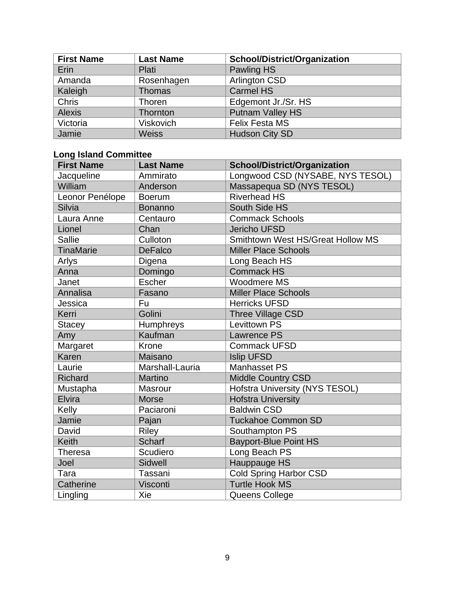| <b>First Name</b> | <b>Last Name</b> | <b>School/District/Organization</b> |
|-------------------|------------------|-------------------------------------|
| Erin              | <b>Plati</b>     | Pawling HS                          |
| Amanda            | Rosenhagen       | <b>Arlington CSD</b>                |
| Kaleigh           | <b>Thomas</b>    | <b>Carmel HS</b>                    |
| <b>Chris</b>      | Thoren           | Edgemont Jr./Sr. HS                 |
| <b>Alexis</b>     | Thornton         | <b>Putnam Valley HS</b>             |
| Victoria          | <b>Viskovich</b> | <b>Felix Festa MS</b>               |
| Jamie             | <b>Weiss</b>     | <b>Hudson City SD</b>               |

#### **Long Island Committee**

| <b>First Name</b> | <b>Last Name</b> | <b>School/District/Organization</b>   |
|-------------------|------------------|---------------------------------------|
| Jacqueline        | Ammirato         | Longwood CSD (NYSABE, NYS TESOL)      |
| William           | Anderson         | Massapequa SD (NYS TESOL)             |
| Leonor Penélope   | <b>Boerum</b>    | <b>Riverhead HS</b>                   |
| Silvia            | <b>Bonanno</b>   | South Side HS                         |
| Laura Anne        | Centauro         | <b>Commack Schools</b>                |
| Lionel            | Chan             | <b>Jericho UFSD</b>                   |
| <b>Sallie</b>     | Culloton         | Smithtown West HS/Great Hollow MS     |
| <b>TinaMarie</b>  | <b>DeFalco</b>   | <b>Miller Place Schools</b>           |
| Arlys             | Digena           | Long Beach HS                         |
| Anna              | Domingo          | <b>Commack HS</b>                     |
| Janet             | <b>Escher</b>    | Woodmere MS                           |
| Annalisa          | Fasano           | <b>Miller Place Schools</b>           |
| Jessica           | Fu               | <b>Herricks UFSD</b>                  |
| Kerri             | Golini           | Three Village CSD                     |
| <b>Stacey</b>     | Humphreys        | <b>Levittown PS</b>                   |
| Amy               | Kaufman          | <b>Lawrence PS</b>                    |
| Margaret          | Krone            | <b>Commack UFSD</b>                   |
| Karen             | Maisano          | <b>Islip UFSD</b>                     |
| Laurie            | Marshall-Lauria  | <b>Manhasset PS</b>                   |
| Richard           | Martino          | <b>Middle Country CSD</b>             |
| Mustapha          | <b>Masrour</b>   | <b>Hofstra University (NYS TESOL)</b> |
| Elvira            | <b>Morse</b>     | <b>Hofstra University</b>             |
| Kelly             | Paciaroni        | <b>Baldwin CSD</b>                    |
| Jamie             | Pajan            | <b>Tuckahoe Common SD</b>             |
| David             | <b>Riley</b>     | Southampton PS                        |
| <b>Keith</b>      | <b>Scharf</b>    | <b>Bayport-Blue Point HS</b>          |
| <b>Theresa</b>    | Scudiero         | Long Beach PS                         |
| Joel              | Sidwell          | Hauppauge HS                          |
| Tara              | Tassani          | <b>Cold Spring Harbor CSD</b>         |
| Catherine         | Visconti         | <b>Turtle Hook MS</b>                 |
| Lingling          | Xie              | Queens College                        |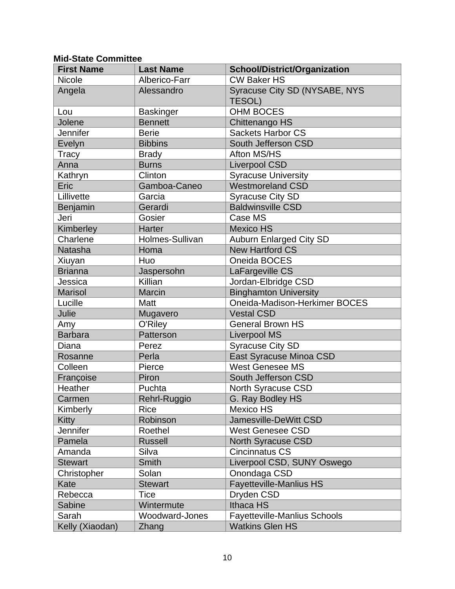#### **Mid-State Committee**

| <b>First Name</b> | <b>Last Name</b> | <b>School/District/Organization</b>            |
|-------------------|------------------|------------------------------------------------|
| <b>Nicole</b>     | Alberico-Farr    | <b>CW Baker HS</b>                             |
| Angela            | Alessandro       | Syracuse City SD (NYSABE, NYS<br><b>TESOL)</b> |
| Lou               | <b>Baskinger</b> | <b>OHM BOCES</b>                               |
| Jolene            | <b>Bennett</b>   | Chittenango HS                                 |
| <b>Jennifer</b>   | <b>Berie</b>     | <b>Sackets Harbor CS</b>                       |
| Evelyn            | <b>Bibbins</b>   | South Jefferson CSD                            |
| Tracy             | <b>Brady</b>     | Afton MS/HS                                    |
| Anna              | <b>Burns</b>     | <b>Liverpool CSD</b>                           |
| Kathryn           | Clinton          | <b>Syracuse University</b>                     |
| Eric              | Gamboa-Caneo     | <b>Westmoreland CSD</b>                        |
| Lillivette        | Garcia           | <b>Syracuse City SD</b>                        |
| Benjamin          | Gerardi          | <b>Baldwinsville CSD</b>                       |
| Jeri              | Gosier           | Case MS                                        |
| Kimberley         | <b>Harter</b>    | <b>Mexico HS</b>                               |
| Charlene          | Holmes-Sullivan  | <b>Auburn Enlarged City SD</b>                 |
| Natasha           | Homa             | <b>New Hartford CS</b>                         |
| Xiuyan            | Huo              | Oneida BOCES                                   |
| <b>Brianna</b>    | Jaspersohn       | LaFargeville CS                                |
| Jessica           | Killian          | Jordan-Elbridge CSD                            |
| <b>Marisol</b>    | Marcin           | <b>Binghamton University</b>                   |
| Lucille           | Matt             | Oneida-Madison-Herkimer BOCES                  |
| Julie             | Mugavero         | <b>Vestal CSD</b>                              |
| Amy               | O'Riley          | <b>General Brown HS</b>                        |
| <b>Barbara</b>    | Patterson        | <b>Liverpool MS</b>                            |
| Diana             | Perez            | Syracuse City SD                               |
| Rosanne           | Perla            | East Syracuse Minoa CSD                        |
| Colleen           | Pierce           | <b>West Genesee MS</b>                         |
| Françoise         | Piron            | South Jefferson CSD                            |
| Heather           | Puchta           | North Syracuse CSD                             |
| Carmen            | Rehrl-Ruggio     | G. Ray Bodley HS                               |
| Kimberly          | Rice             | <b>Mexico HS</b>                               |
| Kitty             | Robinson         | Jamesville-DeWitt CSD                          |
| Jennifer          | Roethel          | <b>West Genesee CSD</b>                        |
| Pamela            | <b>Russell</b>   | North Syracuse CSD                             |
| Amanda            | Silva            | <b>Cincinnatus CS</b>                          |
| <b>Stewart</b>    | Smith            | Liverpool CSD, SUNY Oswego                     |
| Christopher       | Solan            | Onondaga CSD                                   |
| Kate              | <b>Stewart</b>   | <b>Fayetteville-Manlius HS</b>                 |
| Rebecca           | <b>Tice</b>      | Dryden CSD                                     |
| Sabine            | Wintermute       | Ithaca HS                                      |
| Sarah             | Woodward-Jones   | Fayetteville-Manlius Schools                   |
| Kelly (Xiaodan)   | Zhang            | <b>Watkins Glen HS</b>                         |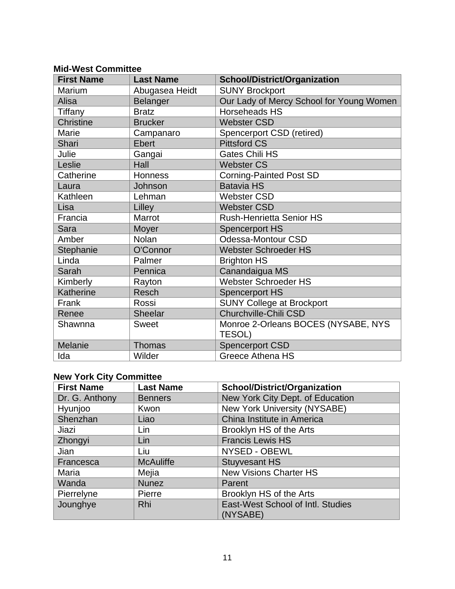#### **Mid-West Committee**

| <b>First Name</b> | <b>Last Name</b> | <b>School/District/Organization</b>      |
|-------------------|------------------|------------------------------------------|
| Marium            | Abugasea Heidt   | <b>SUNY Brockport</b>                    |
| Alisa             | Belanger         | Our Lady of Mercy School for Young Women |
| Tiffany           | <b>Bratz</b>     | Horseheads HS                            |
| <b>Christine</b>  | <b>Brucker</b>   | <b>Webster CSD</b>                       |
| Marie             | Campanaro        | Spencerport CSD (retired)                |
| Shari             | <b>Ebert</b>     | <b>Pittsford CS</b>                      |
| Julie             | Gangai           | <b>Gates Chili HS</b>                    |
| Leslie            | Hall             | <b>Webster CS</b>                        |
| Catherine         | Honness          | <b>Corning-Painted Post SD</b>           |
| Laura             | Johnson          | <b>Batavia HS</b>                        |
| Kathleen          | Lehman           | <b>Webster CSD</b>                       |
| Lisa              | Lilley           | <b>Webster CSD</b>                       |
| Francia           | Marrot           | <b>Rush-Henrietta Senior HS</b>          |
| Sara              | Moyer            | <b>Spencerport HS</b>                    |
| Amber             | <b>Nolan</b>     | Odessa-Montour CSD                       |
| Stephanie         | O'Connor         | <b>Webster Schroeder HS</b>              |
| Linda             | Palmer           | <b>Brighton HS</b>                       |
| Sarah             | Pennica          | Canandaigua MS                           |
| Kimberly          | Rayton           | <b>Webster Schroeder HS</b>              |
| Katherine         | <b>Resch</b>     | <b>Spencerport HS</b>                    |
| Frank             | Rossi            | <b>SUNY College at Brockport</b>         |
| Renee             | Sheelar          | Churchville-Chili CSD                    |
| Shawnna           | <b>Sweet</b>     | Monroe 2-Orleans BOCES (NYSABE, NYS      |
|                   |                  | TESOL)                                   |
| Melanie           | <b>Thomas</b>    | <b>Spencerport CSD</b>                   |
| Ida               | Wilder           | Greece Athena HS                         |

#### **New York City Committee**

| <b>First Name</b> | <b>Last Name</b> | <b>School/District/Organization</b>           |
|-------------------|------------------|-----------------------------------------------|
| Dr. G. Anthony    | <b>Benners</b>   | New York City Dept. of Education              |
| Hyunjoo           | Kwon             | New York University (NYSABE)                  |
| Shenzhan          | Liao             | China Institute in America                    |
| Jiazi             | Lin              | Brooklyn HS of the Arts                       |
| Zhongyi           | Lin              | <b>Francis Lewis HS</b>                       |
| Jian              | Liu              | NYSED - OBEWL                                 |
| Francesca         | <b>McAuliffe</b> | <b>Stuyvesant HS</b>                          |
| Maria             | Mejia            | <b>New Visions Charter HS</b>                 |
| Wanda             | <b>Nunez</b>     | Parent                                        |
| Pierrelyne        | Pierre           | Brooklyn HS of the Arts                       |
| Jounghye          | <b>Rhi</b>       | East-West School of Intl. Studies<br>(NYSABE) |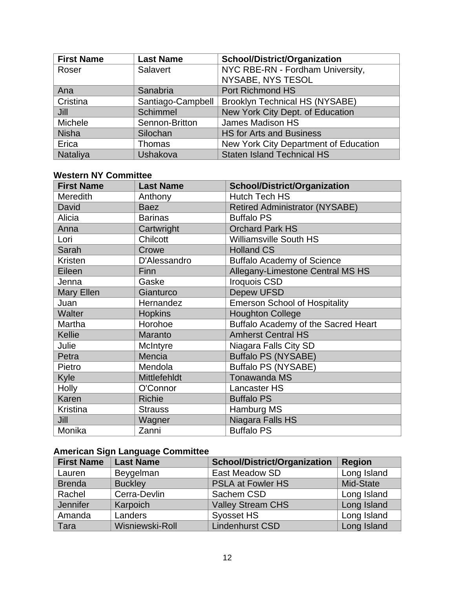| <b>First Name</b> | <b>Last Name</b>  | <b>School/District/Organization</b>   |
|-------------------|-------------------|---------------------------------------|
| Roser             | Salavert          | NYC RBE-RN - Fordham University,      |
|                   |                   | NYSABE, NYS TESOL                     |
| Ana               | Sanabria          | <b>Port Richmond HS</b>               |
| Cristina          | Santiago-Campbell | <b>Brooklyn Technical HS (NYSABE)</b> |
| Jill              | <b>Schimmel</b>   | New York City Dept. of Education      |
| Michele           | Sennon-Britton    | James Madison HS                      |
| <b>Nisha</b>      | Silochan          | <b>HS for Arts and Business</b>       |
| Erica             | Thomas            | New York City Department of Education |
| Nataliya          | Ushakova          | <b>Staten Island Technical HS</b>     |

#### **Western NY Committee**

| <b>First Name</b> | <b>Last Name</b> | <b>School/District/Organization</b>   |
|-------------------|------------------|---------------------------------------|
| <b>Meredith</b>   | Anthony          | <b>Hutch Tech HS</b>                  |
| David             | <b>Baez</b>      | <b>Retired Administrator (NYSABE)</b> |
| Alicia            | <b>Barinas</b>   | <b>Buffalo PS</b>                     |
| Anna              | Cartwright       | <b>Orchard Park HS</b>                |
| Lori              | Chilcott         | <b>Williamsville South HS</b>         |
| Sarah             | Crowe            | <b>Holland CS</b>                     |
| Kristen           | D'Alessandro     | <b>Buffalo Academy of Science</b>     |
| Eileen            | <b>Finn</b>      | Allegany-Limestone Central MS HS      |
| Jenna             | Gaske            | <b>Iroquois CSD</b>                   |
| <b>Mary Ellen</b> | Gianturco        | <b>Depew UFSD</b>                     |
| Juan              | Hernandez        | <b>Emerson School of Hospitality</b>  |
| Walter            | <b>Hopkins</b>   | <b>Houghton College</b>               |
| Martha            | Horohoe          | Buffalo Academy of the Sacred Heart   |
| Kellie            | Maranto          | <b>Amherst Central HS</b>             |
| Julie             | McIntyre         | Niagara Falls City SD                 |
| Petra             | Mencia           | <b>Buffalo PS (NYSABE)</b>            |
| Pietro            | Mendola          | <b>Buffalo PS (NYSABE)</b>            |
| Kyle              | Mittlefehldt     | <b>Tonawanda MS</b>                   |
| <b>Holly</b>      | O'Connor         | Lancaster HS                          |
| Karen             | <b>Richie</b>    | <b>Buffalo PS</b>                     |
| Kristina          | <b>Strauss</b>   | Hamburg MS                            |
| Jill              | Wagner           | Niagara Falls HS                      |
| Monika            | Zanni            | <b>Buffalo PS</b>                     |

# **American Sign Language Committee**

| <b>First Name</b> | <b>Last Name</b> | <b>School/District/Organization</b> | <b>Region</b> |
|-------------------|------------------|-------------------------------------|---------------|
| Lauren            | Beygelman        | East Meadow SD                      | Long Island   |
| <b>Brenda</b>     | <b>Buckley</b>   | <b>PSLA at Fowler HS</b>            | Mid-State     |
| Rachel            | Cerra-Devlin     | Sachem CSD                          | Long Island   |
| Jennifer          | Karpoich         | <b>Valley Stream CHS</b>            | Long Island   |
| Amanda            | Landers          | Syosset HS                          | Long Island   |
| Tara              | Wisniewski-Roll  | <b>Lindenhurst CSD</b>              | Long Island   |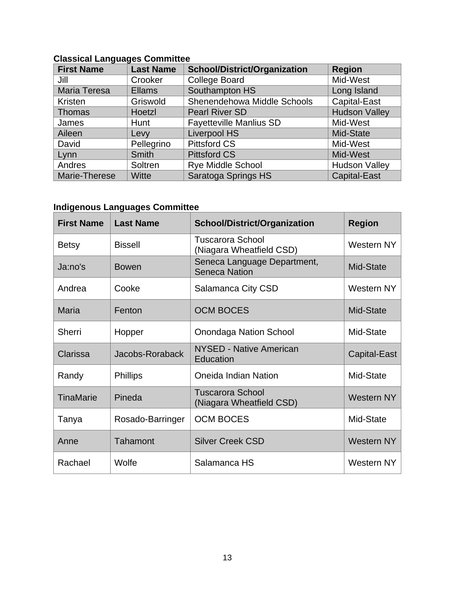#### **Classical Languages Committee**  First Name | Last Name | School/District/Organization | Region Jill Crooker College Board Mid-West Maria Teresa Ellams Southampton HS Long Island Kristen Griswold Shenendehowa Middle Schools Capital-East<br>Thomas Hoetzl Pearl River SD Hudson Valle Thomas Hoetzl Pearl River SD Hudson Valley James | Hunt | Fayetteville Manlius SD | Mid-West Aileen Levy Liverpool HS Mid-State David | Pellegrino | Pittsford CS | Mid-West Lynn Smith Pittsford CS Mid-West Andres Soltren Rye Middle School Rudson Valley Marie-Therese Witte | Saratoga Springs HS | Capital-East

#### **Indigenous Languages Committee**

| <b>First Name</b> | <b>Last Name</b> | <b>School/District/Organization</b>                 | <b>Region</b>     |
|-------------------|------------------|-----------------------------------------------------|-------------------|
| <b>Betsy</b>      | <b>Bissell</b>   | <b>Tuscarora School</b><br>(Niagara Wheatfield CSD) | Western NY        |
| Ja:no's           | <b>Bowen</b>     | Seneca Language Department,<br><b>Seneca Nation</b> | Mid-State         |
| Andrea            | Cooke            | Salamanca City CSD                                  | Western NY        |
| Maria             | Fenton           | <b>OCM BOCES</b>                                    | Mid-State         |
| <b>Sherri</b>     | Hopper           | <b>Onondaga Nation School</b>                       | Mid-State         |
| Clarissa          | Jacobs-Roraback  | NYSED - Native American<br>Education                | Capital-East      |
| Randy             | <b>Phillips</b>  | Oneida Indian Nation                                | Mid-State         |
| <b>TinaMarie</b>  | Pineda           | <b>Tuscarora School</b><br>(Niagara Wheatfield CSD) | <b>Western NY</b> |
| Tanya             | Rosado-Barringer | <b>OCM BOCES</b>                                    | Mid-State         |
| Anne              | Tahamont         | <b>Silver Creek CSD</b>                             | <b>Western NY</b> |
| Rachael           | Wolfe            | Salamanca HS                                        | Western NY        |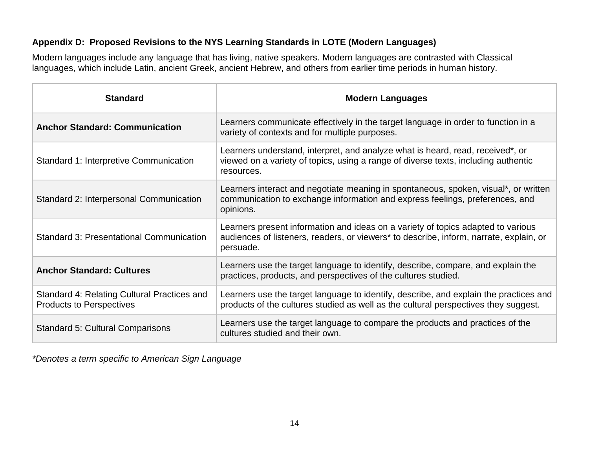#### **Appendix D: Proposed Revisions to the NYS Learning Standards in LOTE (Modern Languages)**

Modern languages include any language that has living, native speakers. Modern languages are contrasted with Classical languages, which include Latin, ancient Greek, ancient Hebrew, and others from earlier time periods in human history.

| <b>Standard</b>                                                                | <b>Modern Languages</b>                                                                                                                                                                 |
|--------------------------------------------------------------------------------|-----------------------------------------------------------------------------------------------------------------------------------------------------------------------------------------|
| <b>Anchor Standard: Communication</b>                                          | Learners communicate effectively in the target language in order to function in a<br>variety of contexts and for multiple purposes.                                                     |
| Standard 1: Interpretive Communication                                         | Learners understand, interpret, and analyze what is heard, read, received*, or<br>viewed on a variety of topics, using a range of diverse texts, including authentic<br>resources.      |
| Standard 2: Interpersonal Communication                                        | Learners interact and negotiate meaning in spontaneous, spoken, visual*, or written<br>communication to exchange information and express feelings, preferences, and<br>opinions.        |
| <b>Standard 3: Presentational Communication</b>                                | Learners present information and ideas on a variety of topics adapted to various<br>audiences of listeners, readers, or viewers* to describe, inform, narrate, explain, or<br>persuade. |
| <b>Anchor Standard: Cultures</b>                                               | Learners use the target language to identify, describe, compare, and explain the<br>practices, products, and perspectives of the cultures studied.                                      |
| Standard 4: Relating Cultural Practices and<br><b>Products to Perspectives</b> | Learners use the target language to identify, describe, and explain the practices and<br>products of the cultures studied as well as the cultural perspectives they suggest.            |
| <b>Standard 5: Cultural Comparisons</b>                                        | Learners use the target language to compare the products and practices of the<br>cultures studied and their own.                                                                        |

*\*Denotes a term specific to American Sign Language*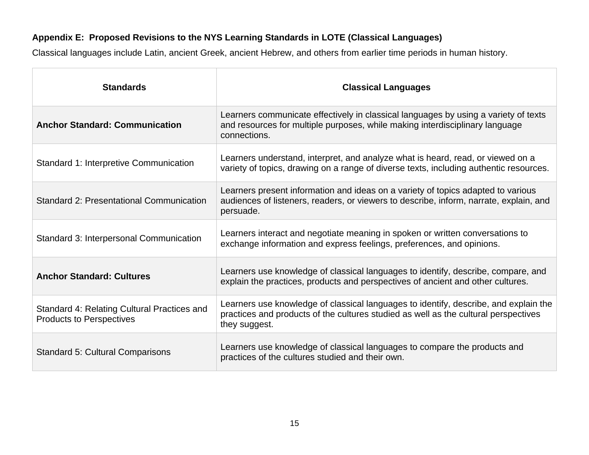#### **Appendix E: Proposed Revisions to the NYS Learning Standards in LOTE (Classical Languages)**

Classical languages include Latin, ancient Greek, ancient Hebrew, and others from earlier time periods in human history.

| <b>Standards</b>                                                               | <b>Classical Languages</b>                                                                                                                                                                   |
|--------------------------------------------------------------------------------|----------------------------------------------------------------------------------------------------------------------------------------------------------------------------------------------|
| <b>Anchor Standard: Communication</b>                                          | Learners communicate effectively in classical languages by using a variety of texts<br>and resources for multiple purposes, while making interdisciplinary language<br>connections.          |
| Standard 1: Interpretive Communication                                         | Learners understand, interpret, and analyze what is heard, read, or viewed on a<br>variety of topics, drawing on a range of diverse texts, including authentic resources.                    |
| <b>Standard 2: Presentational Communication</b>                                | Learners present information and ideas on a variety of topics adapted to various<br>audiences of listeners, readers, or viewers to describe, inform, narrate, explain, and<br>persuade.      |
| Standard 3: Interpersonal Communication                                        | Learners interact and negotiate meaning in spoken or written conversations to<br>exchange information and express feelings, preferences, and opinions.                                       |
| <b>Anchor Standard: Cultures</b>                                               | Learners use knowledge of classical languages to identify, describe, compare, and<br>explain the practices, products and perspectives of ancient and other cultures.                         |
| Standard 4: Relating Cultural Practices and<br><b>Products to Perspectives</b> | Learners use knowledge of classical languages to identify, describe, and explain the<br>practices and products of the cultures studied as well as the cultural perspectives<br>they suggest. |
| <b>Standard 5: Cultural Comparisons</b>                                        | Learners use knowledge of classical languages to compare the products and<br>practices of the cultures studied and their own.                                                                |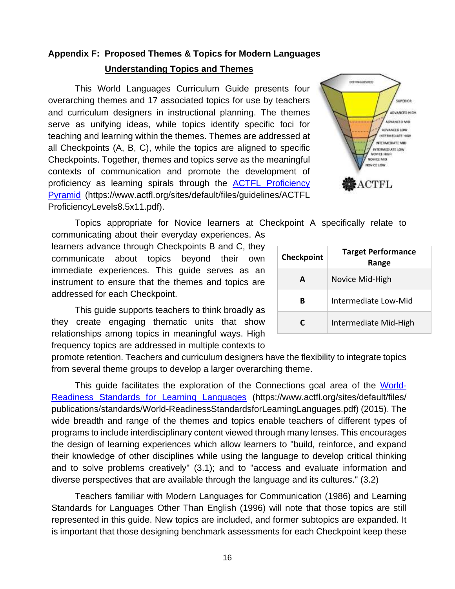# 16

 is important that those designing benchmark assessments for each Checkpoint keep these diverse perspectives that are available through the language and its cultures." (3.2) Teachers familiar with Modern Languages for Communication (1986) and Learning Standards for Languages Other Than English (1996) will note that those topics are still represented in this guide. New topics are included, and former subtopics are expanded. It

their knowledge of other disciplines while using the language to develop critical thinking and to solve problems creatively" (3.1); and to "access and evaluate information and

[Readiness Standards for Learning Languages](https://www.actfl.org/sites/default/files/publications/standards/World-ReadinessStandardsforLearningLanguages.pdf) (https://www.actfl.org/sites/default/files/ the design of learning experiences which allow learners to "build, reinforce, and expand promote retention. Teachers and curriculum designers have the flexibility to integrate topics from several theme groups to develop a larger overarching theme. This guide facilitates the exploration of the Connections goal area of the [World](https://www.actfl.org/sites/default/files/publications/standards/World-ReadinessStandardsforLearningLanguages.pdf)publications/standards/World-ReadinessStandardsforLearningLanguages.pdf) (2015). The wide breadth and range of the themes and topics enable teachers of different types of programs to include interdisciplinary content viewed through many lenses. This encourages

This guide supports teachers to think broadly as they create engaging thematic units that show relationships among topics in meaningful ways. High frequency topics are addressed in multiple contexts to

 instrument to ensure that the themes and topics are learners advance through Checkpoints B and C, they communicate about topics beyond their own immediate experiences. This guide serves as an addressed for each Checkpoint.

# **Appendix F: Proposed Themes & Topics for Modern Languages Understanding Topics and Themes**

overarching themes and 17 associated topics for use by teachers and curriculum designers in instructional planning. The themes serve as unifying ideas, while topics identify specific foci for teaching and learning within the themes. Themes are addressed at all Checkpoints (A, B, C), while the topics are aligned to specific

This World Languages Curriculum Guide presents four

| Checkpoints. Together, themes and topics serve as the meaningful<br>contexts of communication and promote the development of        |            | NOVICE MID                         |
|-------------------------------------------------------------------------------------------------------------------------------------|------------|------------------------------------|
| proficiency as learning spirals through the ACTFL Proficiency                                                                       |            | <b>最ACTFL</b>                      |
| Pyramid (https://www.actfl.org/sites/default/files/guidelines/ACTFL                                                                 |            |                                    |
| ProficiencyLevels8.5x11.pdf).                                                                                                       |            |                                    |
| Topics appropriate for Novice learners at Checkpoint A specifically relate to<br>communicating about their everyday experiences. As |            |                                    |
| learners advance through Checkpoints B and C, they<br>communicate about topics<br>beyond their<br>own                               | Checkpoint | <b>Target Performance</b><br>Range |
| immediate experiences. This guide serves as an<br>instrument to ensure that the themes and topics are                               | A          | Novice Mid-High                    |

**B** Intermediate Low-Mid

**C** Intermediate Mid-High

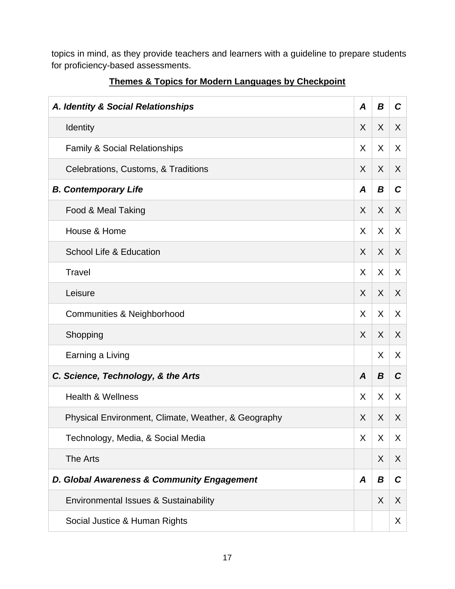topics in mind, as they provide teachers and learners with a guideline to prepare students for proficiency-based assessments.

| A. Identity & Social Relationships                  | A       | B       | $\mathcal{C}$ |
|-----------------------------------------------------|---------|---------|---------------|
| Identity                                            | X       | $\sf X$ | X             |
| <b>Family &amp; Social Relationships</b>            | X       | X       | X             |
| Celebrations, Customs, & Traditions                 | X       | X       | $\sf X$       |
| <b>B. Contemporary Life</b>                         |         |         | $\mathbf C$   |
| Food & Meal Taking                                  | X       | $\sf X$ | X             |
| House & Home                                        | X       | $\sf X$ | X             |
| School Life & Education                             | X       | $\sf X$ | X             |
| Travel                                              | X       | $\sf X$ | X             |
| Leisure                                             | X       | X       | X             |
| <b>Communities &amp; Neighborhood</b>               | X       | $\sf X$ | X             |
| Shopping                                            | $\sf X$ | $\sf X$ | $\sf X$       |
| Earning a Living                                    |         | X       | X             |
| C. Science, Technology, & the Arts                  |         |         | $\mathbf C$   |
| <b>Health &amp; Wellness</b>                        | X       | X       | X.            |
| Physical Environment, Climate, Weather, & Geography | X       | X       | X             |
| Technology, Media, & Social Media                   | X       | X       | X             |
| The Arts                                            |         | X       | X             |
| D. Global Awareness & Community Engagement          |         |         | C             |
| Environmental Issues & Sustainability               |         |         | X             |
| Social Justice & Human Rights                       |         |         | X             |

#### **Themes & Topics for Modern Languages by Checkpoint**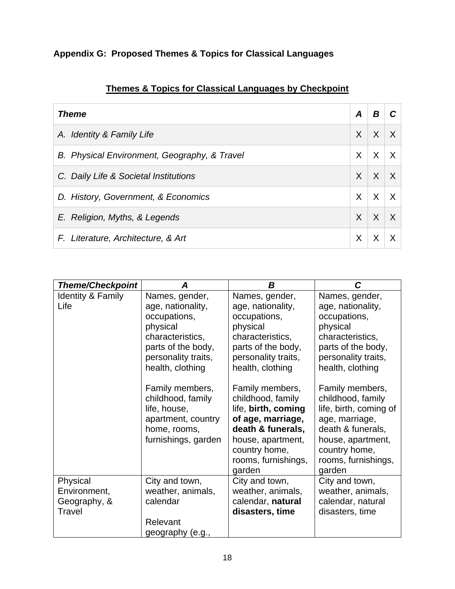|  |  |  |  | Appendix G: Proposed Themes & Topics for Classical Languages |
|--|--|--|--|--------------------------------------------------------------|

| <b>Theme</b>                                 | A        | В |          |
|----------------------------------------------|----------|---|----------|
| A. Identity & Family Life                    | $\times$ | X | $\times$ |
| B. Physical Environment, Geography, & Travel | X        | X | $\times$ |
| C. Daily Life & Societal Institutions        | X        | X | $\times$ |
| D. History, Government, & Economics          | X        | X | $\times$ |
| E. Religion, Myths, & Legends                | X        | X | $\times$ |
| F. Literature, Architecture, & Art           | Χ        |   |          |

|  |  |  |  |  | Themes & Topics for Classical Languages by Checkpoint |  |
|--|--|--|--|--|-------------------------------------------------------|--|
|--|--|--|--|--|-------------------------------------------------------|--|

| <b>Theme/Checkpoint</b>                            | Α                                                                                                                                     | B                                                                                                                                                                                                | C                                                                                                                                                                                                |
|----------------------------------------------------|---------------------------------------------------------------------------------------------------------------------------------------|--------------------------------------------------------------------------------------------------------------------------------------------------------------------------------------------------|--------------------------------------------------------------------------------------------------------------------------------------------------------------------------------------------------|
| <b>Identity &amp; Family</b><br>Life               | Names, gender,<br>age, nationality,<br>occupations,<br>physical<br>characteristics,<br>parts of the body,<br>personality traits,      | Names, gender,<br>age, nationality,<br>occupations,<br>physical<br>characteristics,<br>parts of the body,<br>personality traits,                                                                 | Names, gender,<br>age, nationality,<br>occupations,<br>physical<br>characteristics,<br>parts of the body,<br>personality traits,                                                                 |
|                                                    | health, clothing<br>Family members,<br>childhood, family<br>life, house,<br>apartment, country<br>home, rooms,<br>furnishings, garden | health, clothing<br>Family members,<br>childhood, family<br>life, birth, coming<br>of age, marriage,<br>death & funerals,<br>house, apartment,<br>country home,<br>rooms, furnishings,<br>garden | health, clothing<br>Family members,<br>childhood, family<br>life, birth, coming of<br>age, marriage,<br>death & funerals,<br>house, apartment,<br>country home,<br>rooms, furnishings,<br>garden |
| Physical<br>Environment,<br>Geography, &<br>Travel | City and town,<br>weather, animals,<br>calendar<br>Relevant<br>geography (e.g.,                                                       | City and town,<br>weather, animals,<br>calendar, natural<br>disasters, time                                                                                                                      | City and town,<br>weather, animals,<br>calendar, natural<br>disasters, time                                                                                                                      |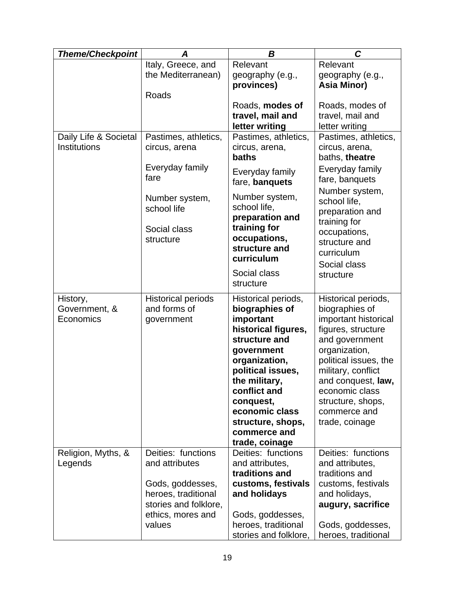| <b>Theme/Checkpoint</b>    | Α                          | B                                    | C                                      |
|----------------------------|----------------------------|--------------------------------------|----------------------------------------|
|                            | Italy, Greece, and         | Relevant                             | Relevant                               |
|                            | the Mediterranean)         | geography (e.g.,                     | geography (e.g.,                       |
|                            | Roads                      | provinces)                           | Asia Minor)                            |
|                            |                            | Roads, modes of                      | Roads, modes of                        |
|                            |                            | travel, mail and                     | travel, mail and                       |
|                            |                            | letter writing                       | letter writing                         |
| Daily Life & Societal      | Pastimes, athletics,       | Pastimes, athletics,                 | Pastimes, athletics,                   |
| Institutions               | circus, arena              | circus, arena,                       | circus, arena,                         |
|                            |                            | baths                                | baths, theatre                         |
|                            | Everyday family            | Everyday family                      | Everyday family                        |
|                            | fare                       | fare, banquets                       | fare, banquets                         |
|                            | Number system,             | Number system,                       | Number system,                         |
|                            | school life                | school life,                         | school life,<br>preparation and        |
|                            |                            | preparation and                      | training for                           |
|                            | Social class               | training for                         | occupations,                           |
|                            | structure                  | occupations,<br>structure and        | structure and                          |
|                            |                            | curriculum                           | curriculum                             |
|                            |                            |                                      | Social class                           |
|                            |                            | Social class                         | structure                              |
|                            |                            | structure                            |                                        |
| History,                   | <b>Historical periods</b>  | Historical periods,                  | Historical periods,                    |
| Government, &<br>Economics | and forms of<br>government | biographies of<br>important          | biographies of<br>important historical |
|                            |                            | historical figures,                  | figures, structure                     |
|                            |                            | structure and                        | and government                         |
|                            |                            | government                           | organization,                          |
|                            |                            | organization,                        | political issues, the                  |
|                            |                            | political issues,                    | military, conflict                     |
|                            |                            | the military,                        | and conquest, law,                     |
|                            |                            | conflict and<br>conquest,            | economic class<br>structure, shops,    |
|                            |                            | economic class                       | commerce and                           |
|                            |                            | structure, shops,                    | trade, coinage                         |
|                            |                            | commerce and                         |                                        |
|                            |                            | trade, coinage                       |                                        |
| Religion, Myths, &         | Deities: functions         | Deities: functions                   | Deities: functions                     |
| Legends                    | and attributes             | and attributes,                      | and attributes,                        |
|                            | Gods, goddesses,           | traditions and<br>customs, festivals | traditions and<br>customs, festivals   |
|                            | heroes, traditional        | and holidays                         | and holidays,                          |
|                            | stories and folklore,      |                                      | augury, sacrifice                      |
|                            | ethics, mores and          | Gods, goddesses,                     |                                        |
|                            | values                     | heroes, traditional                  | Gods, goddesses,                       |
|                            |                            | stories and folklore,                | heroes, traditional                    |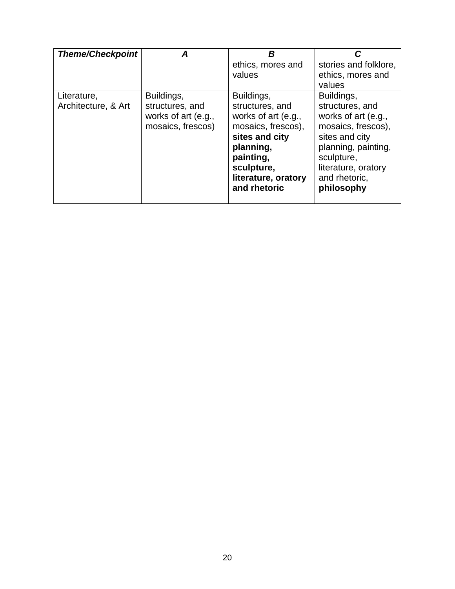| <b>Theme/Checkpoint</b> |                     | R                           |                                            |
|-------------------------|---------------------|-----------------------------|--------------------------------------------|
|                         |                     | ethics, mores and<br>values | stories and folklore,<br>ethics, mores and |
|                         |                     |                             | values                                     |
| Literature,             | Buildings,          | Buildings,                  | Buildings,                                 |
| Architecture, & Art     | structures, and     | structures, and             | structures, and                            |
|                         | works of art (e.g., | works of art (e.g.,         | works of art (e.g.,                        |
|                         | mosaics, frescos)   | mosaics, frescos),          | mosaics, frescos),                         |
|                         |                     | sites and city              | sites and city                             |
|                         |                     | planning,                   | planning, painting,                        |
|                         |                     | painting,                   | sculpture,                                 |
|                         |                     | sculpture,                  | literature, oratory                        |
|                         |                     | literature, oratory         | and rhetoric,                              |
|                         |                     | and rhetoric                | philosophy                                 |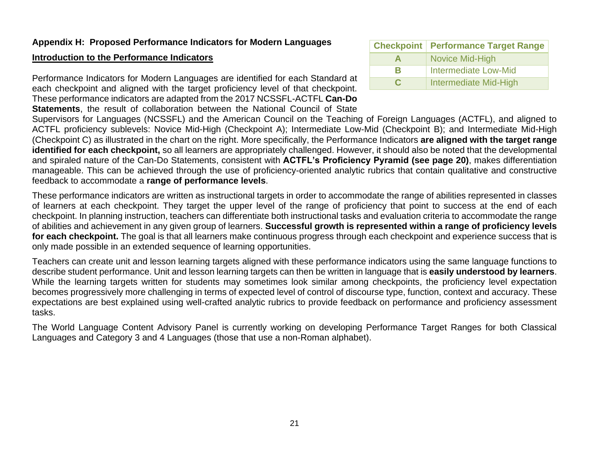#### **Appendix H: Proposed Performance Indicators for Modern Languages**

#### **Introduction to the Performance Indicators**

 Performance Indicators for Modern Languages are identified for each Standard at each checkpoint and aligned with the target proficiency level of that checkpoint. These performance indicators are adapted from the 2017 NCSSFL-ACTFL **Can-Do Statements**, the result of collaboration between the National Council of State **Checkpoint | Performance Target Range A** Novice Mid-High **B** Intermediate Low-Mid **C** Intermediate Mid-High

 Supervisors for Languages (NCSSFL) and the American Council on the Teaching of Foreign Languages (ACTFL), and aligned to ACTFL proficiency sublevels: Novice Mid-High (Checkpoint A); Intermediate Low-Mid (Checkpoint B); and Intermediate Mid-High  (Checkpoint C) as illustrated in the chart on the right. More specifically, the Performance Indicators **are aligned with the target range identified for each checkpoint,** so all learners are appropriately challenged. However, it should also be noted that the developmental and spiraled nature of the Can-Do Statements, consistent with **ACTFL's Proficiency Pyramid (see page 20)**, makes differentiation manageable. This can be achieved through the use of proficiency-oriented analytic rubrics that contain qualitative and constructive feedback to accommodate a **range of performance levels**.

 These performance indicators are written as instructional targets in order to accommodate the range of abilities represented in classes checkpoint. In planning instruction, teachers can differentiate both instructional tasks and evaluation criteria to accommodate the range of learners at each checkpoint. They target the upper level of the range of proficiency that point to success at the end of each of abilities and achievement in any given group of learners. **Successful growth is represented within a range of proficiency levels for each checkpoint.** The goal is that all learners make continuous progress through each checkpoint and experience success that is only made possible in an extended sequence of learning opportunities.

 describe student performance. Unit and lesson learning targets can then be written in language that is **easily understood by learners**. becomes progressively more challenging in terms of expected level of control of discourse type, function, context and accuracy. These Teachers can create unit and lesson learning targets aligned with these performance indicators using the same language functions to While the learning targets written for students may sometimes look similar among checkpoints, the proficiency level expectation expectations are best explained using well-crafted analytic rubrics to provide feedback on performance and proficiency assessment tasks.

The World Language Content Advisory Panel is currently working on developing Performance Target Ranges for both Classical Languages and Category 3 and 4 Languages (those that use a non-Roman alphabet).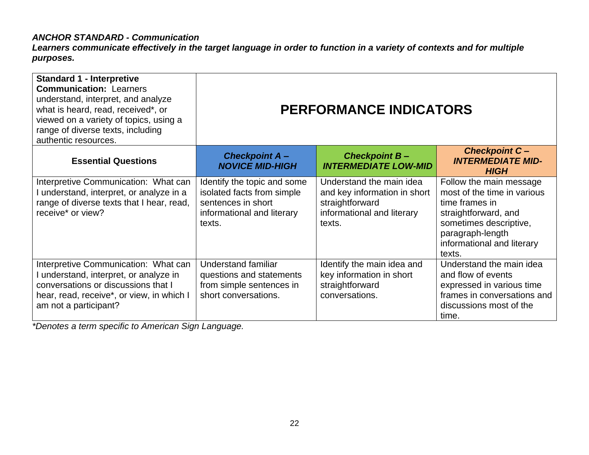#### *ANCHOR STANDARD - Communication*

*Learners communicate effectively in the target language in order to function in a variety of contexts and for multiple purposes.* 

| <b>Standard 1 - Interpretive</b><br><b>Communication: Learners</b><br>understand, interpret, and analyze<br>what is heard, read, received*, or<br>viewed on a variety of topics, using a<br>range of diverse texts, including<br>authentic resources. | <b>PERFORMANCE INDICATORS</b>                                                                                           |                                                                                                                     |                                                                                                                                                                                        |  |  |
|-------------------------------------------------------------------------------------------------------------------------------------------------------------------------------------------------------------------------------------------------------|-------------------------------------------------------------------------------------------------------------------------|---------------------------------------------------------------------------------------------------------------------|----------------------------------------------------------------------------------------------------------------------------------------------------------------------------------------|--|--|
| <b>Essential Questions</b>                                                                                                                                                                                                                            | <b>Checkpoint A-</b><br><b>NOVICE MID-HIGH</b>                                                                          | <b>Checkpoint B-</b><br><b>INTERMEDIATE LOW-MID</b>                                                                 | <b>Checkpoint C-</b><br><b>INTERMEDIATE MID-</b><br><b>HIGH</b>                                                                                                                        |  |  |
| Interpretive Communication: What can<br>I understand, interpret, or analyze in a<br>range of diverse texts that I hear, read,<br>receive* or view?                                                                                                    | Identify the topic and some<br>isolated facts from simple<br>sentences in short<br>informational and literary<br>texts. | Understand the main idea<br>and key information in short<br>straightforward<br>informational and literary<br>texts. | Follow the main message<br>most of the time in various<br>time frames in<br>straightforward, and<br>sometimes descriptive,<br>paragraph-length<br>informational and literary<br>texts. |  |  |
| Interpretive Communication: What can<br>I understand, interpret, or analyze in<br>conversations or discussions that I<br>hear, read, receive*, or view, in which I<br>am not a participant?                                                           | <b>Understand familiar</b><br>questions and statements<br>from simple sentences in<br>short conversations.              | Identify the main idea and<br>key information in short<br>straightforward<br>conversations.                         | Understand the main idea<br>and flow of events<br>expressed in various time<br>frames in conversations and<br>discussions most of the<br>time.                                         |  |  |

*\*Denotes a term specific to American Sign Language.*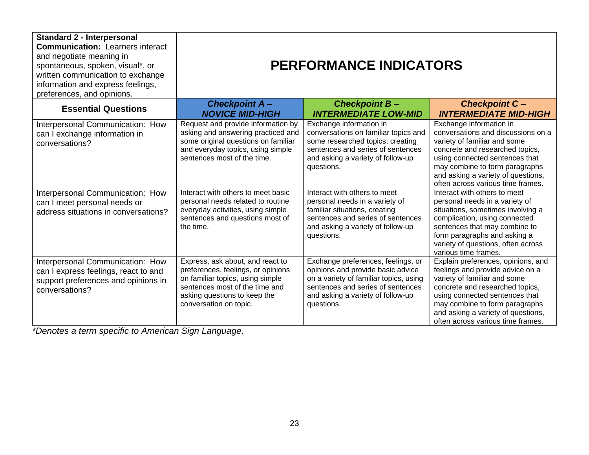| <b>Standard 2 - Interpersonal</b><br><b>Communication: Learners interact</b><br>and negotiate meaning in<br>spontaneous, spoken, visual*, or<br>written communication to exchange<br>information and express feelings,<br>preferences, and opinions. | <b>PERFORMANCE INDICATORS</b>                                                                                                                                                                          |                                                                                                                                                                                                           |                                                                                                                                                                                                                                                                                          |  |  |
|------------------------------------------------------------------------------------------------------------------------------------------------------------------------------------------------------------------------------------------------------|--------------------------------------------------------------------------------------------------------------------------------------------------------------------------------------------------------|-----------------------------------------------------------------------------------------------------------------------------------------------------------------------------------------------------------|------------------------------------------------------------------------------------------------------------------------------------------------------------------------------------------------------------------------------------------------------------------------------------------|--|--|
| <b>Essential Questions</b>                                                                                                                                                                                                                           | <b>Checkpoint A-</b><br><b>NOVICE MID-HIGH</b>                                                                                                                                                         | <b>Checkpoint B-</b><br><b>INTERMEDIATE LOW-MID</b>                                                                                                                                                       | <b>Checkpoint C-</b><br><b>INTERMEDIATE MID-HIGH</b>                                                                                                                                                                                                                                     |  |  |
| Interpersonal Communication: How<br>can I exchange information in<br>conversations?                                                                                                                                                                  | Request and provide information by<br>asking and answering practiced and<br>some original questions on familiar<br>and everyday topics, using simple<br>sentences most of the time.                    | Exchange information in<br>conversations on familiar topics and<br>some researched topics, creating<br>sentences and series of sentences<br>and asking a variety of follow-up<br>questions.               | Exchange information in<br>conversations and discussions on a<br>variety of familiar and some<br>concrete and researched topics,<br>using connected sentences that<br>may combine to form paragraphs<br>and asking a variety of questions,<br>often across various time frames.          |  |  |
| Interpersonal Communication: How<br>can I meet personal needs or<br>address situations in conversations?                                                                                                                                             | Interact with others to meet basic<br>personal needs related to routine<br>everyday activities, using simple<br>sentences and questions most of<br>the time.                                           | Interact with others to meet<br>personal needs in a variety of<br>familiar situations, creating<br>sentences and series of sentences<br>and asking a variety of follow-up<br>questions.                   | Interact with others to meet<br>personal needs in a variety of<br>situations, sometimes involving a<br>complication, using connected<br>sentences that may combine to<br>form paragraphs and asking a<br>variety of questions, often across<br>various time frames.                      |  |  |
| Interpersonal Communication: How<br>can I express feelings, react to and<br>support preferences and opinions in<br>conversations?                                                                                                                    | Express, ask about, and react to<br>preferences, feelings, or opinions<br>on familiar topics, using simple<br>sentences most of the time and<br>asking questions to keep the<br>conversation on topic. | Exchange preferences, feelings, or<br>opinions and provide basic advice<br>on a variety of familiar topics, using<br>sentences and series of sentences<br>and asking a variety of follow-up<br>questions. | Explain preferences, opinions, and<br>feelings and provide advice on a<br>variety of familiar and some<br>concrete and researched topics,<br>using connected sentences that<br>may combine to form paragraphs<br>and asking a variety of questions,<br>often across various time frames. |  |  |

*\*Denotes a term specific to American Sign Language.*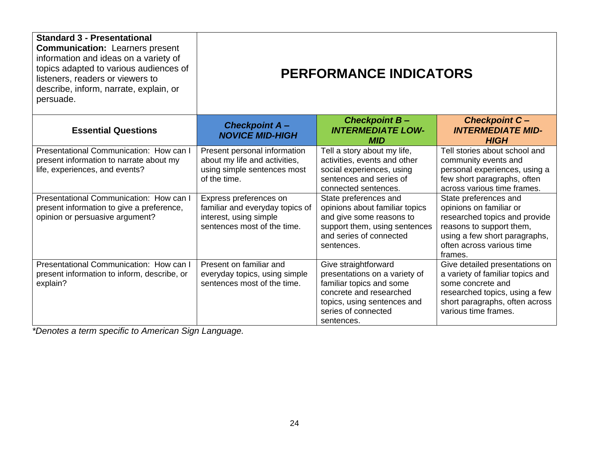| <b>Standard 3 - Presentational</b><br><b>Communication: Learners present</b><br>information and ideas on a variety of<br>topics adapted to various audiences of<br>listeners, readers or viewers to<br>describe, inform, narrate, explain, or<br>persuade. | <b>PERFORMANCE INDICATORS</b>                                                                                      |                                                                                                                                                                                  |                                                                                                                                                                                        |  |  |
|------------------------------------------------------------------------------------------------------------------------------------------------------------------------------------------------------------------------------------------------------------|--------------------------------------------------------------------------------------------------------------------|----------------------------------------------------------------------------------------------------------------------------------------------------------------------------------|----------------------------------------------------------------------------------------------------------------------------------------------------------------------------------------|--|--|
| <b>Essential Questions</b>                                                                                                                                                                                                                                 | <b>Checkpoint A-</b><br><b>NOVICE MID-HIGH</b>                                                                     | <b>Checkpoint B-</b><br><b>INTERMEDIATE LOW-</b><br><b>MID</b>                                                                                                                   | <b>Checkpoint C-</b><br><b>INTERMEDIATE MID-</b><br><b>HIGH</b>                                                                                                                        |  |  |
| Presentational Communication: How can I<br>present information to narrate about my<br>life, experiences, and events?                                                                                                                                       | Present personal information<br>about my life and activities,<br>using simple sentences most<br>of the time.       | Tell a story about my life,<br>activities, events and other<br>social experiences, using<br>sentences and series of<br>connected sentences.                                      | Tell stories about school and<br>community events and<br>personal experiences, using a<br>few short paragraphs, often<br>across various time frames.                                   |  |  |
| Presentational Communication: How can I<br>present information to give a preference,<br>opinion or persuasive argument?                                                                                                                                    | Express preferences on<br>familiar and everyday topics of<br>interest, using simple<br>sentences most of the time. | State preferences and<br>opinions about familiar topics<br>and give some reasons to<br>support them, using sentences<br>and series of connected<br>sentences.                    | State preferences and<br>opinions on familiar or<br>researched topics and provide<br>reasons to support them,<br>using a few short paragraphs,<br>often across various time<br>frames. |  |  |
| Presentational Communication: How can I<br>present information to inform, describe, or<br>explain?                                                                                                                                                         | Present on familiar and<br>everyday topics, using simple<br>sentences most of the time.                            | Give straightforward<br>presentations on a variety of<br>familiar topics and some<br>concrete and researched<br>topics, using sentences and<br>series of connected<br>sentences. | Give detailed presentations on<br>a variety of familiar topics and<br>some concrete and<br>researched topics, using a few<br>short paragraphs, often across<br>various time frames.    |  |  |

*\*Denotes a term specific to American Sign Language.*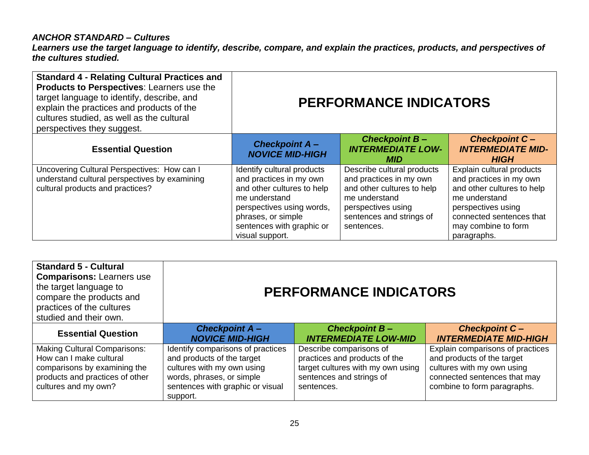#### *ANCHOR STANDARD – Cultures*

*Learners use the target language to identify, describe, compare, and explain the practices, products, and perspectives of the cultures studied.* 

| <b>Standard 4 - Relating Cultural Practices and</b><br>Products to Perspectives: Learners use the<br>target language to identify, describe, and<br>explain the practices and products of the<br>cultures studied, as well as the cultural<br>perspectives they suggest. | <b>PERFORMANCE INDICATORS</b>                                                                                                                                                                           |                                                                                                                                                                      |                                                                                                                                                                                             |  |
|-------------------------------------------------------------------------------------------------------------------------------------------------------------------------------------------------------------------------------------------------------------------------|---------------------------------------------------------------------------------------------------------------------------------------------------------------------------------------------------------|----------------------------------------------------------------------------------------------------------------------------------------------------------------------|---------------------------------------------------------------------------------------------------------------------------------------------------------------------------------------------|--|
| <b>Essential Question</b>                                                                                                                                                                                                                                               | <b>Checkpoint A-</b><br><b>NOVICE MID-HIGH</b>                                                                                                                                                          | <b>Checkpoint B-</b><br><b>INTERMEDIATE LOW-</b><br><b>MID</b>                                                                                                       | <b>Checkpoint C-</b><br><b>INTERMEDIATE MID-</b><br><b>HIGH</b>                                                                                                                             |  |
| Uncovering Cultural Perspectives: How can I<br>understand cultural perspectives by examining<br>cultural products and practices?                                                                                                                                        | Identify cultural products<br>and practices in my own<br>and other cultures to help<br>me understand<br>perspectives using words,<br>phrases, or simple<br>sentences with graphic or<br>visual support. | Describe cultural products<br>and practices in my own<br>and other cultures to help<br>me understand<br>perspectives using<br>sentences and strings of<br>sentences. | Explain cultural products<br>and practices in my own<br>and other cultures to help<br>me understand<br>perspectives using<br>connected sentences that<br>may combine to form<br>paragraphs. |  |

| <b>Standard 5 - Cultural</b><br><b>Comparisons: Learners use</b><br>the target language to<br>compare the products and<br>practices of the cultures<br>studied and their own. | <b>PERFORMANCE INDICATORS</b>                                                                                                                                              |                                                                                                                                         |                                                                                                                                                             |  |
|-------------------------------------------------------------------------------------------------------------------------------------------------------------------------------|----------------------------------------------------------------------------------------------------------------------------------------------------------------------------|-----------------------------------------------------------------------------------------------------------------------------------------|-------------------------------------------------------------------------------------------------------------------------------------------------------------|--|
| <b>Essential Question</b>                                                                                                                                                     | <b>Checkpoint A-</b><br><b>NOVICE MID-HIGH</b>                                                                                                                             | <b>Checkpoint B-</b><br><b>INTERMEDIATE LOW-MID</b>                                                                                     | <b>Checkpoint C-</b><br><b>INTERMEDIATE MID-HIGH</b>                                                                                                        |  |
| <b>Making Cultural Comparisons:</b><br>How can I make cultural<br>comparisons by examining the<br>products and practices of other<br>cultures and my own?                     | Identify comparisons of practices<br>and products of the target<br>cultures with my own using<br>words, phrases, or simple<br>sentences with graphic or visual<br>support. | Describe comparisons of<br>practices and products of the<br>target cultures with my own using<br>sentences and strings of<br>sentences. | Explain comparisons of practices<br>and products of the target<br>cultures with my own using<br>connected sentences that may<br>combine to form paragraphs. |  |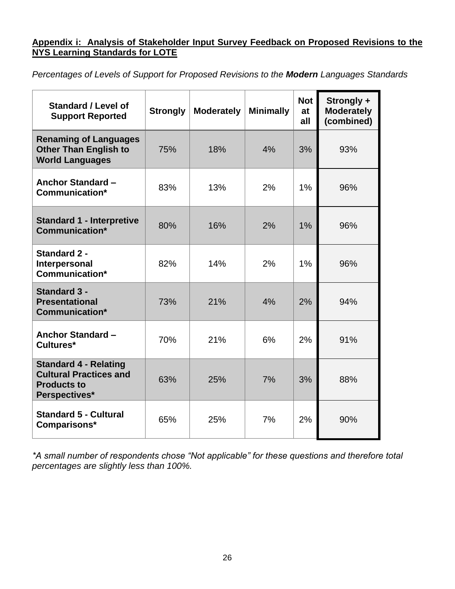#### **Appendix i: Analysis of Stakeholder Input Survey Feedback on Proposed Revisions to the NYS Learning Standards for LOTE**

*Percentages of Levels of Support for Proposed Revisions to the Modern Languages Standards* 

| <b>Standard / Level of</b><br><b>Support Reported</b>                                                | <b>Strongly</b> | <b>Moderately</b> | <b>Minimally</b> | <b>Not</b><br>at<br>all | Strongly +<br><b>Moderately</b><br>(combined) |
|------------------------------------------------------------------------------------------------------|-----------------|-------------------|------------------|-------------------------|-----------------------------------------------|
| <b>Renaming of Languages</b><br><b>Other Than English to</b><br><b>World Languages</b>               | 75%             | 18%               | 4%               | 3%                      | 93%                                           |
| <b>Anchor Standard -</b><br>Communication*                                                           | 83%             | 13%               | 2%               | 1%                      | 96%                                           |
| <b>Standard 1 - Interpretive</b><br>Communication*                                                   | 80%             | 16%               | 2%               | $1\%$                   | 96%                                           |
| <b>Standard 2 -</b><br>Interpersonal<br>Communication*                                               | 82%             | 14%               | 2%               | $1\%$                   | 96%                                           |
| <b>Standard 3 -</b><br><b>Presentational</b><br><b>Communication*</b>                                | 73%             | 21%               | 4%               | 2%                      | 94%                                           |
| <b>Anchor Standard -</b><br>Cultures*                                                                | 70%             | 21%               | 6%               | 2%                      | 91%                                           |
| <b>Standard 4 - Relating</b><br><b>Cultural Practices and</b><br><b>Products to</b><br>Perspectives* | 63%             | 25%               | 7%               | 3%                      | 88%                                           |
| <b>Standard 5 - Cultural</b><br>Comparisons*                                                         | 65%             | 25%               | 7%               | 2%                      | 90%                                           |

*\*A small number of respondents chose "Not applicable" for these questions and therefore total percentages are slightly less than 100%.*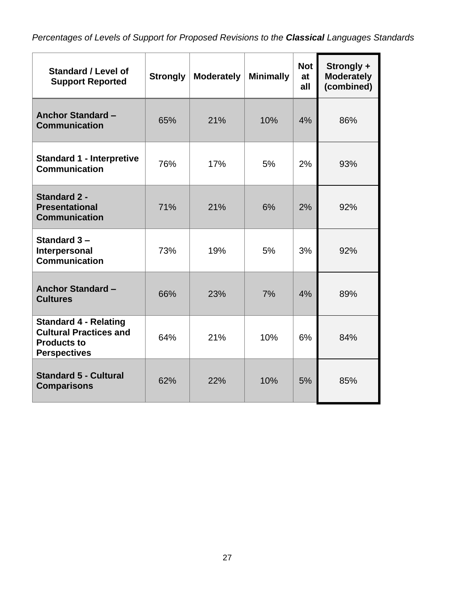*Percentages of Levels of Support for Proposed Revisions to the Classical Languages Standards* 

| <b>Standard / Level of</b><br><b>Support Reported</b>                                                      | <b>Strongly</b> | <b>Moderately</b> | <b>Minimally</b> | <b>Not</b><br>at<br>all | Strongly +<br><b>Moderately</b><br>(combined) |
|------------------------------------------------------------------------------------------------------------|-----------------|-------------------|------------------|-------------------------|-----------------------------------------------|
| <b>Anchor Standard -</b><br><b>Communication</b>                                                           | 65%             | 21%               | 10%              | 4%                      | 86%                                           |
| <b>Standard 1 - Interpretive</b><br><b>Communication</b>                                                   | 76%             | 17%               | 5%               | 2%                      | 93%                                           |
| <b>Standard 2 -</b><br><b>Presentational</b><br><b>Communication</b>                                       | 71%             | 21%               | 6%               | 2%                      | 92%                                           |
| Standard 3-<br>Interpersonal<br><b>Communication</b>                                                       | 73%             | 19%               | 5%               | 3%                      | 92%                                           |
| <b>Anchor Standard -</b><br><b>Cultures</b>                                                                | 66%             | 23%               | 7%               | 4%                      | 89%                                           |
| <b>Standard 4 - Relating</b><br><b>Cultural Practices and</b><br><b>Products to</b><br><b>Perspectives</b> | 64%             | 21%               | 10%              | 6%                      | 84%                                           |
| <b>Standard 5 - Cultural</b><br><b>Comparisons</b>                                                         | 62%             | 22%               | 10%              | 5%                      | 85%                                           |